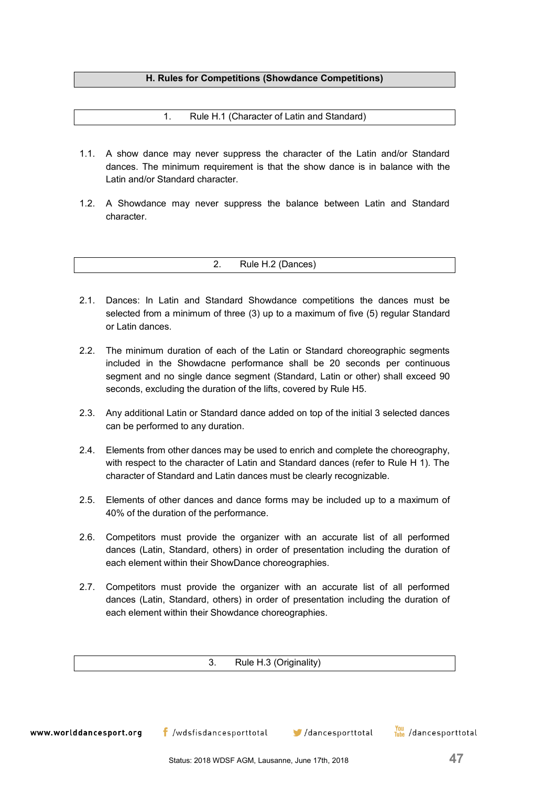# **H. Rules for Competitions (Showdance Competitions)**

1. Rule H.1 (Character of Latin and Standard)

- 1.1. A show dance may never suppress the character of the Latin and/or Standard dances. The minimum requirement is that the show dance is in balance with the Latin and/or Standard character.
- 1.2. A Showdance may never suppress the balance between Latin and Standard character.

2. Rule H.2 (Dances)

- 2.1. Dances: In Latin and Standard Showdance competitions the dances must be selected from a minimum of three (3) up to a maximum of five (5) regular Standard or Latin dances.
- 2.2. The minimum duration of each of the Latin or Standard choreographic segments included in the Showdacne performance shall be 20 seconds per continuous segment and no single dance segment (Standard, Latin or other) shall exceed 90 seconds, excluding the duration of the lifts, covered by Rule H5.
- 2.3. Any additional Latin or Standard dance added on top of the initial 3 selected dances can be performed to any duration.
- 2.4. Elements from other dances may be used to enrich and complete the choreography, with respect to the character of Latin and Standard dances (refer to Rule H 1). The character of Standard and Latin dances must be clearly recognizable.
- 2.5. Elements of other dances and dance forms may be included up to a maximum of 40% of the duration of the performance.
- 2.6. Competitors must provide the organizer with an accurate list of all performed dances (Latin, Standard, others) in order of presentation including the duration of each element within their ShowDance choreographies.
- 2.7. Competitors must provide the organizer with an accurate list of all performed dances (Latin, Standard, others) in order of presentation including the duration of each element within their Showdance choreographies.

3. Rule H.3 (Originality)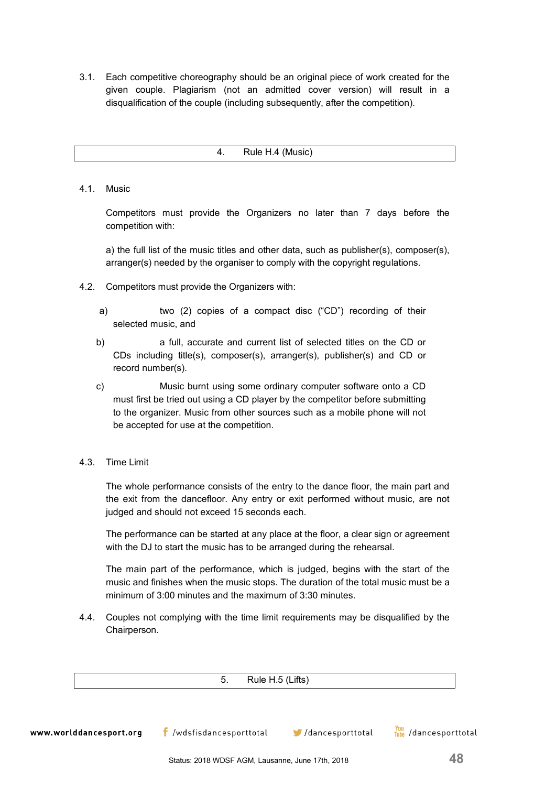3.1. Each competitive choreography should be an original piece of work created for the given couple. Plagiarism (not an admitted cover version) will result in a disqualification of the couple (including subsequently, after the competition).

4. Rule H.4 (Music)

# 4.1. Music

Competitors must provide the Organizers no later than 7 days before the competition with:

a) the full list of the music titles and other data, such as publisher(s), composer(s), arranger(s) needed by the organiser to comply with the copyright regulations.

- 4.2. Competitors must provide the Organizers with:
	- a) two (2) copies of a compact disc ("CD") recording of their selected music, and
	- b) a full, accurate and current list of selected titles on the CD or CDs including title(s), composer(s), arranger(s), publisher(s) and CD or record number(s).
	- c) Music burnt using some ordinary computer software onto a CD must first be tried out using a CD player by the competitor before submitting to the organizer. Music from other sources such as a mobile phone will not be accepted for use at the competition.
- 4.3. Time Limit

The whole performance consists of the entry to the dance floor, the main part and the exit from the dancefloor. Any entry or exit performed without music, are not judged and should not exceed 15 seconds each.

The performance can be started at any place at the floor, a clear sign or agreement with the DJ to start the music has to be arranged during the rehearsal.

The main part of the performance, which is judged, begins with the start of the music and finishes when the music stops. The duration of the total music must be a minimum of 3:00 minutes and the maximum of 3:30 minutes.

4.4. Couples not complying with the time limit requirements may be disqualified by the Chairperson.

5. Rule H.5 (Lifts)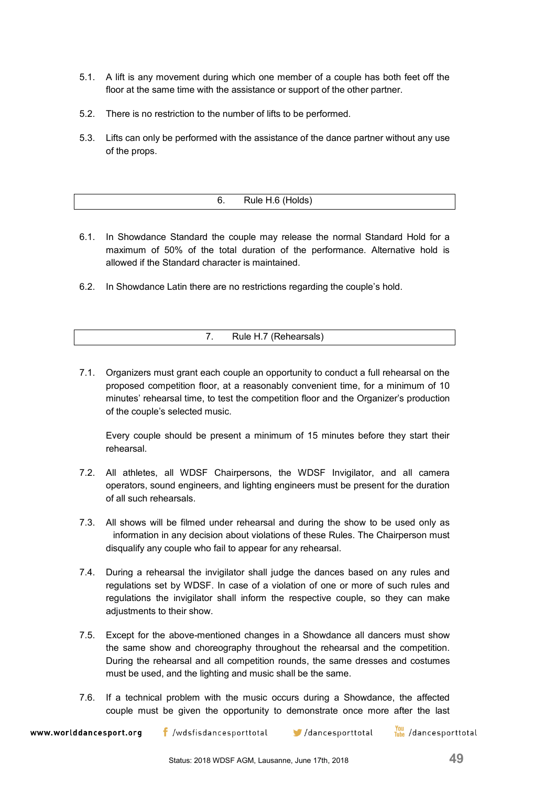- 5.1. A lift is any movement during which one member of a couple has both feet off the floor at the same time with the assistance or support of the other partner.
- 5.2. There is no restriction to the number of lifts to be performed.
- 5.3. Lifts can only be performed with the assistance of the dance partner without any use of the props.

| H e⊞R<br>. UNUSI<br>v.<br>11010110 |  |
|------------------------------------|--|
|                                    |  |

- 6.1. In Showdance Standard the couple may release the normal Standard Hold for a maximum of 50% of the total duration of the performance. Alternative hold is allowed if the Standard character is maintained.
- 6.2. In Showdance Latin there are no restrictions regarding the couple's hold.

| 7. | Rule H.7 (Rehearsals) |  |
|----|-----------------------|--|
|    |                       |  |

7.1. Organizers must grant each couple an opportunity to conduct a full rehearsal on the proposed competition floor, at a reasonably convenient time, for a minimum of 10 minutes' rehearsal time, to test the competition floor and the Organizer's production of the couple's selected music.

Every couple should be present a minimum of 15 minutes before they start their rehearsal.

- 7.2. All athletes, all WDSF Chairpersons, the WDSF Invigilator, and all camera operators, sound engineers, and lighting engineers must be present for the duration of all such rehearsals.
- 7.3. All shows will be filmed under rehearsal and during the show to be used only as information in any decision about violations of these Rules. The Chairperson must disqualify any couple who fail to appear for any rehearsal.
- 7.4. During a rehearsal the invigilator shall judge the dances based on any rules and regulations set by WDSF. In case of a violation of one or more of such rules and regulations the invigilator shall inform the respective couple, so they can make adjustments to their show.
- 7.5. Except for the above-mentioned changes in a Showdance all dancers must show the same show and choreography throughout the rehearsal and the competition. During the rehearsal and all competition rounds, the same dresses and costumes must be used, and the lighting and music shall be the same.
- 7.6. If a technical problem with the music occurs during a Showdance, the affected couple must be given the opportunity to demonstrate once more after the last

www.worlddancesport.org

 $\mathsf f$  /wdsfisdancesporttotal  $\mathsf f$ /dancesporttotal

You /dancesporttotal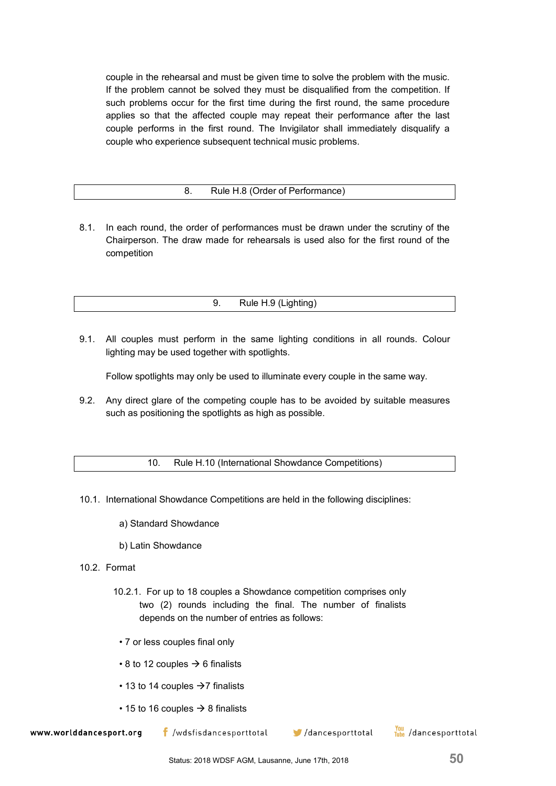couple in the rehearsal and must be given time to solve the problem with the music. If the problem cannot be solved they must be disqualified from the competition. If such problems occur for the first time during the first round, the same procedure applies so that the affected couple may repeat their performance after the last couple performs in the first round. The Invigilator shall immediately disqualify a couple who experience subsequent technical music problems.

## 8. Rule H.8 (Order of Performance)

8.1. In each round, the order of performances must be drawn under the scrutiny of the Chairperson. The draw made for rehearsals is used also for the first round of the competition

9. Rule H.9 (Lighting)

9.1. All couples must perform in the same lighting conditions in all rounds. Colour lighting may be used together with spotlights.

Follow spotlights may only be used to illuminate every couple in the same way.

9.2. Any direct glare of the competing couple has to be avoided by suitable measures such as positioning the spotlights as high as possible.

10. Rule H.10 (International Showdance Competitions)

- 10.1. International Showdance Competitions are held in the following disciplines:
	- a) Standard Showdance
	- b) Latin Showdance
- 10.2. Format
	- 10.2.1. For up to 18 couples a Showdance competition comprises only two (2) rounds including the final. The number of finalists depends on the number of entries as follows:
		- 7 or less couples final only
	- $\cdot$  8 to 12 couples  $\rightarrow$  6 finalists
	- 13 to 14 couples  $\rightarrow$  7 finalists
	- 15 to 16 couples  $\rightarrow$  8 finalists

www.worlddancesport.org

 $\mathsf f$  /wdsfisdancesporttotal

 $\blacksquare$ /dancesporttotal

You /dancesporttotal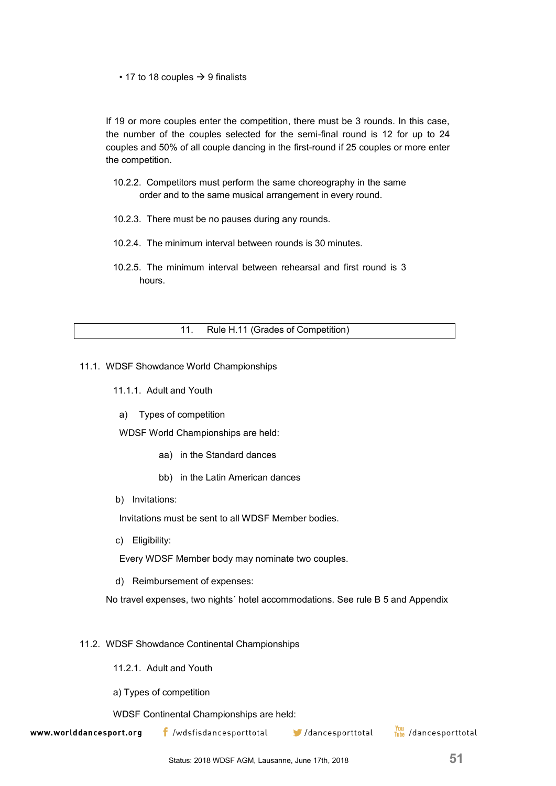## • 17 to 18 couples  $\rightarrow$  9 finalists

If 19 or more couples enter the competition, there must be 3 rounds. In this case, the number of the couples selected for the semi-final round is 12 for up to 24 couples and 50% of all couple dancing in the first-round if 25 couples or more enter the competition.

- 10.2.2. Competitors must perform the same choreography in the same order and to the same musical arrangement in every round.
- 10.2.3. There must be no pauses during any rounds.
- 10.2.4. The minimum interval between rounds is 30 minutes.
- 10.2.5. The minimum interval between rehearsal and first round is 3 hours.

## 11. Rule H.11 (Grades of Competition)

- 11.1. WDSF Showdance World Championships
	- 11.1.1. Adult and Youth
		- a) Types of competition

WDSF World Championships are held:

- aa) in the Standard dances
- bb) in the Latin American dances
- b) Invitations:

Invitations must be sent to all WDSF Member bodies.

c) Eligibility:

Every WDSF Member body may nominate two couples.

d) Reimbursement of expenses:

No travel expenses, two nights´ hotel accommodations. See rule B 5 and Appendix

#### 11.2. WDSF Showdance Continental Championships

- 11.2.1. Adult and Youth
- a) Types of competition

WDSF Continental Championships are held:

www.worlddancesport.org

 $\mathbf f$  /wdsfisdancesporttotal

/dancesporttotal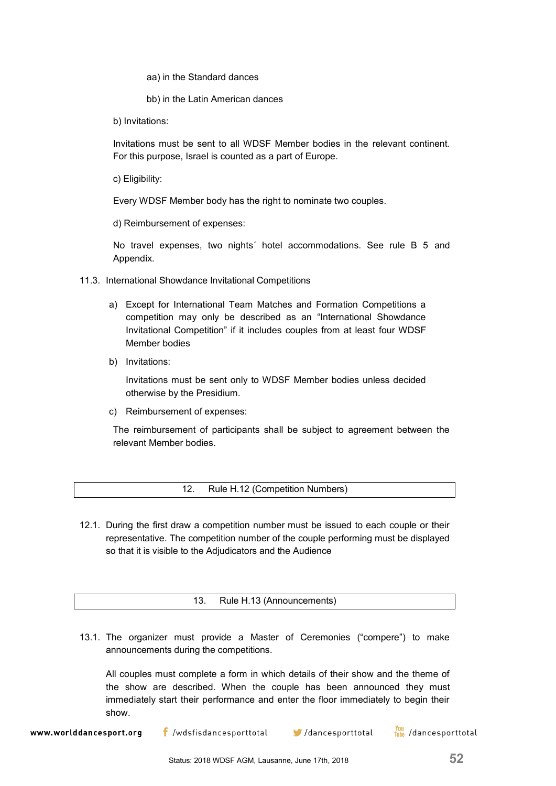aa) in the Standard dances

bb) in the Latin American dances

b) Invitations:

Invitations must be sent to all WDSF Member bodies in the relevant continent. For this purpose, Israel is counted as a part of Europe.

c) Eligibility:

Every WDSF Member body has the right to nominate two couples.

d) Reimbursement of expenses:

No travel expenses, two nights´ hotel accommodations. See rule B 5 and Appendix.

- 11.3. International Showdance Invitational Competitions
	- a) Except for International Team Matches and Formation Competitions a competition may only be described as an "International Showdance Invitational Competition" if it includes couples from at least four WDSF Member bodies
	- b) Invitations:

Invitations must be sent only to WDSF Member bodies unless decided otherwise by the Presidium.

c) Reimbursement of expenses:

The reimbursement of participants shall be subject to agreement between the relevant Member bodies.

- 12. Rule H.12 (Competition Numbers)
- 12.1. During the first draw a competition number must be issued to each couple or their representative. The competition number of the couple performing must be displayed so that it is visible to the Adjudicators and the Audience

13. Rule H.13 (Announcements)

13.1. The organizer must provide a Master of Ceremonies ("compere") to make announcements during the competitions.

All couples must complete a form in which details of their show and the theme of the show are described. When the couple has been announced they must immediately start their performance and enter the floor immediately to begin their show.

You /dancesporttotal  $\mathsf f$  /wdsfisdancesporttotal  $\blacksquare$ /dancesporttotal www.worlddancesport.org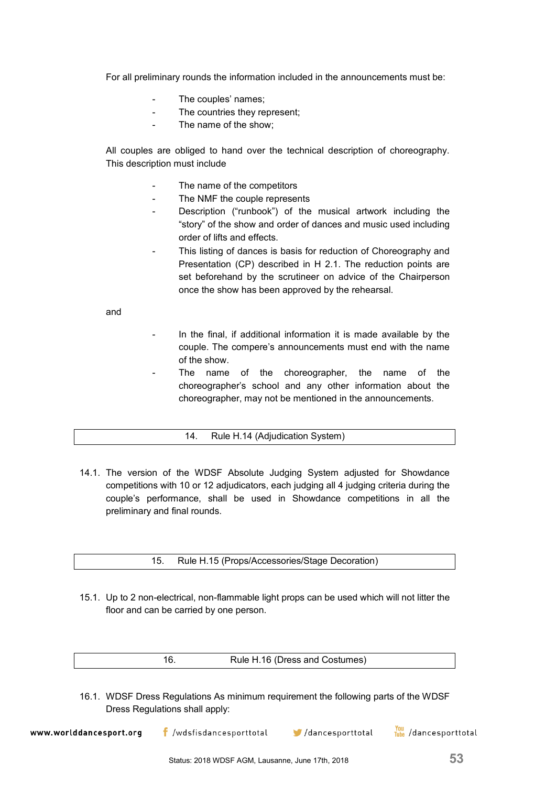For all preliminary rounds the information included in the announcements must be:

- The couples' names:
- The countries they represent;
- The name of the show;

All couples are obliged to hand over the technical description of choreography. This description must include

- The name of the competitors
- The NMF the couple represents
- Description ("runbook") of the musical artwork including the "story" of the show and order of dances and music used including order of lifts and effects.
- This listing of dances is basis for reduction of Choreography and Presentation (CP) described in H 2.1. The reduction points are set beforehand by the scrutineer on advice of the Chairperson once the show has been approved by the rehearsal.

and

- In the final, if additional information it is made available by the couple. The compere's announcements must end with the name of the show.
- The name of the choreographer, the name of the choreographer's school and any other information about the choreographer, may not be mentioned in the announcements.
	- 14. Rule H.14 (Adjudication System)
- 14.1. The version of the WDSF Absolute Judging System adjusted for Showdance competitions with 10 or 12 adjudicators, each judging all 4 judging criteria during the couple's performance, shall be used in Showdance competitions in all the preliminary and final rounds.

15. Rule H.15 (Props/Accessories/Stage Decoration)

15.1. Up to 2 non-electrical, non-flammable light props can be used which will not litter the floor and can be carried by one person.

16.1. WDSF Dress Regulations As minimum requirement the following parts of the WDSF Dress Regulations shall apply:

You /dancesporttotal  $\mathsf f$  /wdsfisdancesporttotal www.worlddancesport.org /dancesporttotal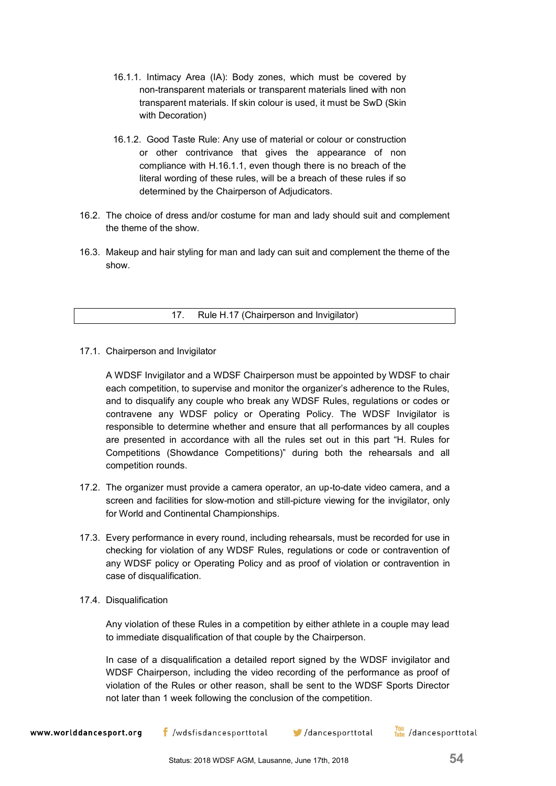- 16.1.1. Intimacy Area (IA): Body zones, which must be covered by non-transparent materials or transparent materials lined with non transparent materials. If skin colour is used, it must be SwD (Skin with Decoration)
- 16.1.2. Good Taste Rule: Any use of material or colour or construction or other contrivance that gives the appearance of non compliance with H.16.1.1, even though there is no breach of the literal wording of these rules, will be a breach of these rules if so determined by the Chairperson of Adjudicators.
- 16.2. The choice of dress and/or costume for man and lady should suit and complement the theme of the show.
- 16.3. Makeup and hair styling for man and lady can suit and complement the theme of the show.

17. Rule H.17 (Chairperson and Invigilator)

17.1. Chairperson and Invigilator

A WDSF Invigilator and a WDSF Chairperson must be appointed by WDSF to chair each competition, to supervise and monitor the organizer's adherence to the Rules, and to disqualify any couple who break any WDSF Rules, regulations or codes or contravene any WDSF policy or Operating Policy. The WDSF Invigilator is responsible to determine whether and ensure that all performances by all couples are presented in accordance with all the rules set out in this part "H. Rules for Competitions (Showdance Competitions)" during both the rehearsals and all competition rounds.

- 17.2. The organizer must provide a camera operator, an up-to-date video camera, and a screen and facilities for slow-motion and still-picture viewing for the invigilator, only for World and Continental Championships.
- 17.3. Every performance in every round, including rehearsals, must be recorded for use in checking for violation of any WDSF Rules, regulations or code or contravention of any WDSF policy or Operating Policy and as proof of violation or contravention in case of disqualification.
- 17.4. Disqualification

Any violation of these Rules in a competition by either athlete in a couple may lead to immediate disqualification of that couple by the Chairperson.

In case of a disqualification a detailed report signed by the WDSF invigilator and WDSF Chairperson, including the video recording of the performance as proof of violation of the Rules or other reason, shall be sent to the WDSF Sports Director not later than 1 week following the conclusion of the competition.

You /dancesporttotal  $\mathsf{f}$  /wdsfisdancesporttotal www.worlddancesport.org  $\blacktriangleright$ /dancesporttotal